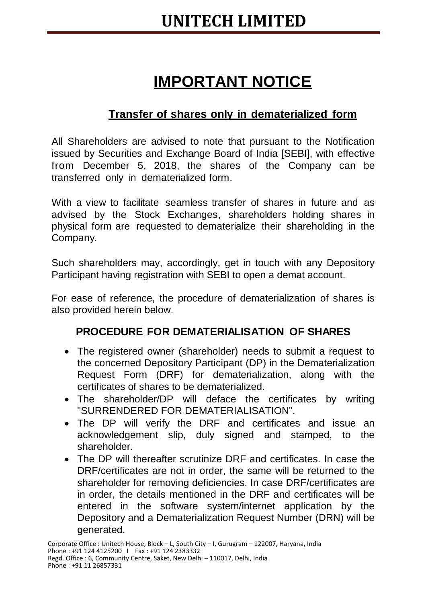## **IMPORTANT NOTICE**

## **Transfer of shares only in dematerialized form**

All Shareholders are advised to note that pursuant to the Notification issued by Securities and Exchange Board of India [SEBI], with effective from December 5, 2018, the shares of the Company can be transferred only in dematerialized form.

With a view to facilitate seamless transfer of shares in future and as advised by the Stock Exchanges, shareholders holding shares in physical form are requested to dematerialize their shareholding in the Company.

Such shareholders may, accordingly, get in touch with any Depository Participant having registration with SEBI to open a demat account.

For ease of reference, the procedure of dematerialization of shares is also provided herein below.

## **PROCEDURE FOR DEMATERIALISATION OF SHARES**

- The registered owner (shareholder) needs to submit a request to the concerned Depository Participant (DP) in the Dematerialization Request Form (DRF) for dematerialization, along with the certificates of shares to be dematerialized.
- The shareholder/DP will deface the certificates by writing "SURRENDERED FOR DEMATERIALISATION".
- The DP will verify the DRF and certificates and issue an acknowledgement slip, duly signed and stamped, to the shareholder.
- The DP will thereafter scrutinize DRF and certificates. In case the DRF/certificates are not in order, the same will be returned to the shareholder for removing deficiencies. In case DRF/certificates are in order, the details mentioned in the DRF and certificates will be entered in the software system/internet application by the Depository and a Dematerialization Request Number (DRN) will be generated.